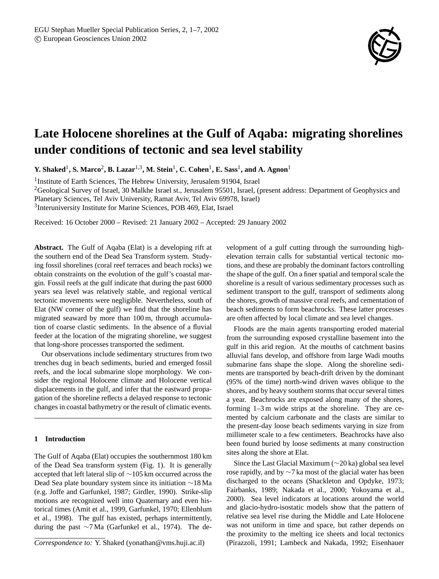

# **Late Holocene shorelines at the Gulf of Aqaba: migrating shorelines under conditions of tectonic and sea level stability**

**Y. Shaked**<sup>1</sup> **, S. Marco**<sup>2</sup> **, B. Lazar**1,3**, M. Stein**<sup>1</sup> **, C. Cohen**<sup>1</sup> **, E. Sass**<sup>1</sup> **, and A. Agnon**<sup>1</sup>

<sup>1</sup> Institute of Earth Sciences, The Hebrew University, Jerusalem 91904, Israel

<sup>2</sup>Geological Survey of Israel, 30 Malkhe Israel st., Jerusalem 95501, Israel, (present address: Department of Geophysics and

Planetary Sciences, Tel Aviv University, Ramat Aviv, Tel Aviv 69978, Israel)

3 Interuniversity Institute for Marine Sciences, POB 469, Elat, Israel

Received: 16 October 2000 – Revised: 21 January 2002 – Accepted: 29 January 2002

**Abstract.** The Gulf of Aqaba (Elat) is a developing rift at the southern end of the Dead Sea Transform system. Studying fossil shorelines (coral reef terraces and beach rocks) we obtain constraints on the evolution of the gulf's coastal margin. Fossil reefs at the gulf indicate that during the past 6000 years sea level was relatively stable, and regional vertical tectonic movements were negligible. Nevertheless, south of Elat (NW corner of the gulf) we find that the shoreline has migrated seaward by more than 100 m, through accumulation of coarse clastic sediments. In the absence of a fluvial feeder at the location of the migrating shoreline, we suggest that long-shore processes transported the sediment.

Our observations include sedimentary structures from two trenches dug in beach sediments, buried and emerged fossil reefs, and the local submarine slope morphology. We consider the regional Holocene climate and Holocene vertical displacements in the gulf, and infer that the eastward propagation of the shoreline reflects a delayed response to tectonic changes in coastal bathymetry or the result of climatic events.

## **1 Introduction**

The Gulf of Aqaba (Elat) occupies the southernmost 180 km of the Dead Sea transform system (Fig. 1). It is generally accepted that left lateral slip of ∼105 km occurred across the Dead Sea plate boundary system since its initiation ∼18 Ma (e.g. Joffe and Garfunkel, 1987; Girdler, 1990). Strike-slip motions are recognized well into Quaternary and even historical times (Amit et al., 1999, Garfunkel, 1970; Ellenblum et al., 1998). The gulf has existed, perhaps intermittently, during the past ∼7 Ma (Garfunkel et al., 1974). The de-

velopment of a gulf cutting through the surrounding highelevation terrain calls for substantial vertical tectonic motions, and these are probably the dominant factors controlling the shape of the gulf. On a finer spatial and temporal scale the shoreline is a result of various sedimentary processes such as sediment transport to the gulf, transport of sediments along the shores, growth of massive coral reefs, and cementation of beach sediments to form beachrocks. These latter processes are often affected by local climate and sea level changes.

Floods are the main agents transporting eroded material from the surrounding exposed crystalline basement into the gulf in this arid region. At the mouths of catchment basins alluvial fans develop, and offshore from large Wadi mouths submarine fans shape the slope. Along the shoreline sediments are transported by beach-drift driven by the dominant (95% of the time) north-wind driven waves oblique to the shores, and by heavy southern storms that occur several times a year. Beachrocks are exposed along many of the shores, forming 1–3 m wide strips at the shoreline. They are cemented by calcium carbonate and the clasts are similar to the present-day loose beach sediments varying in size from millimeter scale to a few centimeters. Beachrocks have also been found buried by loose sediments at many construction sites along the shore at Elat.

Since the Last Glacial Maximum (∼20 ka) global sea level rose rapidly, and by ∼7 ka most of the glacial water has been discharged to the oceans (Shackleton and Opdyke, 1973; Fairbanks, 1989; Nakada et al., 2000; Yokoyama et al., 2000). Sea level indicators at locations around the world and glacio-hydro-isostatic models show that the pattern of relative sea level rise during the Middle and Late Holocene was not uniform in time and space, but rather depends on the proximity to the melting ice sheets and local tectonics (Pirazzoli, 1991; Lambeck and Nakada, 1992; Eisenhauer

*Correspondence to:* Y. Shaked (yonathan@vms.huji.ac.il)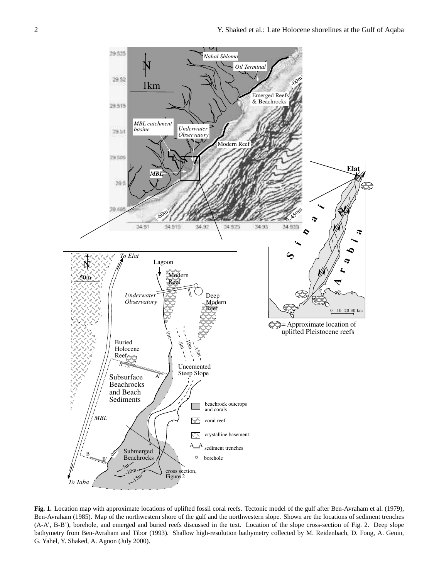

**Fig. 1.** Location map with approximate locations of uplifted fossil coral reefs. Tectonic model of the gulf after Ben-Avraham et al. (1979), Ben-Avraham (1985). Map of the northwestern shore of the gulf and the northwestern slope. Shown are the locations of sediment trenches (A-A', B-B'), borehole, and emerged and buried reefs discussed in the text. Location of the slope cross-section of Fig. 2. Deep slope bathymetry from Ben-Avraham and Tibor (1993). Shallow high-resolution bathymetry collected by M. Reidenbach, D. Fong, A. Genin, G. Yahel, Y. Shaked, A. Agnon (July 2000).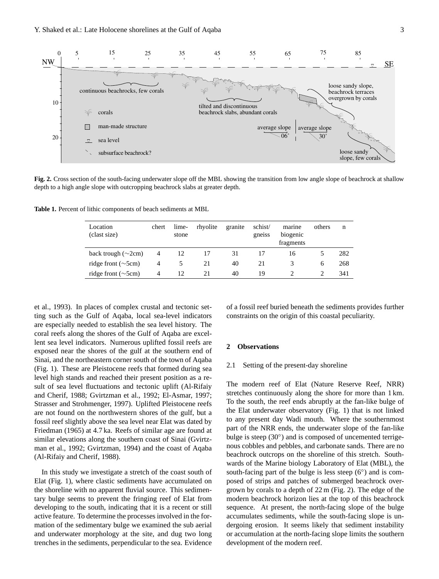

Figure 2 **Fig. 2.** Cross section of the south-facing underwater slope off the MBL showing the transition from low angle slope of beachrock at shallow depth to a high angle slope with outcropping beachrock slabs at greater depth.

**Table 1.** Percent of lithic components of beach sediments at MBL

| Location<br>(clast size) | chert | lime-<br>stone | rhyolite | granite | schist/<br>gneiss | marine<br>biogenic<br>fragments | others | n   |
|--------------------------|-------|----------------|----------|---------|-------------------|---------------------------------|--------|-----|
| back trough $(\sim 2cm)$ | 4     | 12             |          | 31      |                   | 16                              |        | 282 |
| ridge front $(\sim 5cm)$ | 4     |                | 21       | 40      | 21                |                                 | 6      | 268 |
| ridge front $(\sim 5cm)$ | 4     | 12             | 21       | 40      | 19                |                                 |        | 341 |

et al., 1993). In places of complex crustal and tectonic setting such as the Gulf of Aqaba, local sea-level indicators are especially needed to establish the sea level history. The coral reefs along the shores of the Gulf of Aqaba are excellent sea level indicators. Numerous uplifted fossil reefs are exposed near the shores of the gulf at the southern end of Sinai, and the northeastern corner south of the town of Aqaba (Fig. 1). These are Pleistocene reefs that formed during sea level high stands and reached their present position as a result of sea level fluctuations and tectonic uplift (Al-Rifaiy and Cherif, 1988; Gvirtzman et al., 1992; El-Asmar, 1997; Strasser and Strohmenger, 1997). Uplifted Pleistocene reefs are not found on the northwestern shores of the gulf, but a fossil reef slightly above the sea level near Elat was dated by Friedman (1965) at 4.7 ka. Reefs of similar age are found at similar elevations along the southern coast of Sinai (Gvirtzman et al., 1992; Gvirtzman, 1994) and the coast of Aqaba (Al-Rifaiy and Cherif, 1988).

In this study we investigate a stretch of the coast south of Elat (Fig. 1), where clastic sediments have accumulated on the shoreline with no apparent fluvial source. This sedimentary bulge seems to prevent the fringing reef of Elat from developing to the south, indicating that it is a recent or still active feature. To determine the processes involved in the formation of the sedimentary bulge we examined the sub aerial and underwater morphology at the site, and dug two long trenches in the sediments, perpendicular to the sea. Evidence of a fossil reef buried beneath the sediments provides further constraints on the origin of this coastal peculiarity.

#### **2 Observations**

## 2.1 Setting of the present-day shoreline

The modern reef of Elat (Nature Reserve Reef, NRR) stretches continuously along the shore for more than 1 km. To the south, the reef ends abruptly at the fan-like bulge of the Elat underwater observatory (Fig. 1) that is not linked to any present day Wadi mouth. Where the southernmost part of the NRR ends, the underwater slope of the fan-like bulge is steep (30°) and is composed of uncemented terrigenous cobbles and pebbles, and carbonate sands. There are no beachrock outcrops on the shoreline of this stretch. Southwards of the Marine biology Laboratory of Elat (MBL), the south-facing part of the bulge is less steep (6°) and is composed of strips and patches of submerged beachrock overgrown by corals to a depth of 22 m (Fig. 2). The edge of the modern beachrock horizon lies at the top of this beachrock sequence. At present, the north-facing slope of the bulge accumulates sediments, while the south-facing slope is undergoing erosion. It seems likely that sediment instability or accumulation at the north-facing slope limits the southern development of the modern reef.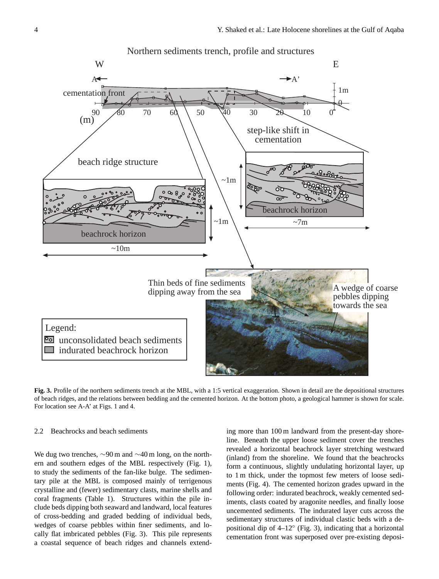

**Fig. 3.** Profile of the northern sediments trench at the MBL, with a 1:5 vertical exaggeration. Shown in detail are the depositional structures of beach ridges, and the relations between bedding and the cemented horizon. At the bottom photo, a geological hammer is shown for scale. For location see A-A' at Figs. 1 and 4.

# 2.2 Beachrocks and beach sediments

We dug two trenches, ∼90 m and ∼40 m long, on the northern and southern edges of the MBL respectively (Fig. 1), to study the sediments of the fan-like bulge. The sedimentary pile at the MBL is composed mainly of terrigenous crystalline and (fewer) sedimentary clasts, marine shells and coral fragments (Table 1). Structures within the pile include beds dipping both seaward and landward, local features of cross-bedding and graded bedding of individual beds, wedges of coarse pebbles within finer sediments, and locally flat imbricated pebbles (Fig. 3). This pile represents a coastal sequence of beach ridges and channels extending more than 100 m landward from the present-day shoreline. Beneath the upper loose sediment cover the trenches revealed a horizontal beachrock layer stretching westward (inland) from the shoreline. We found that the beachrocks form a continuous, slightly undulating horizontal layer, up to 1 m thick, under the topmost few meters of loose sediments (Fig. 4). The cemented horizon grades upward in the following order: indurated beachrock, weakly cemented sediments, clasts coated by aragonite needles, and finally loose uncemented sediments. The indurated layer cuts across the sedimentary structures of individual clastic beds with a depositional dip of 4–12◦ (Fig. 3), indicating that a horizontal cementation front was superposed over pre-existing deposi-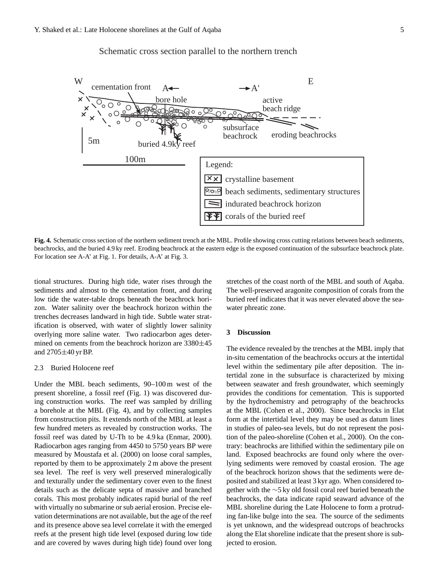



**Fig. 4.** Schematic cross section of the northern sediment trench at the MBL. Profile showing cross cutting relations between beach sediments, beachrocks, and the buried 4.9 ky reef. Eroding beachrock at the eastern edge is the exposed continuation of the subsurface beachrock plate. For location see A-A' at Fig. 1. For details, A-A' at Fig. 3.

tional structures. During high tide, water rises through the sediments and almost to the cementation front, and during low tide the water-table drops beneath the beachrock horizon. Water salinity over the beachrock horizon within the trenches decreases landward in high tide. Subtle water stratification is observed, with water of slightly lower salinity overlying more saline water. Two radiocarbon ages determined on cements from the beachrock horizon are 3380±45 and 2705±40 yr BP.

#### 2.3 Buried Holocene reef

Under the MBL beach sediments, 90–100 m west of the present shoreline, a fossil reef (Fig. 1) was discovered during construction works. The reef was sampled by drilling a borehole at the MBL (Fig. 4), and by collecting samples from construction pits. It extends north of the MBL at least a few hundred meters as revealed by construction works. The fossil reef was dated by U-Th to be 4.9 ka (Enmar, 2000). Radiocarbon ages ranging from 4450 to 5750 years BP were measured by Moustafa et al. (2000) on loose coral samples, reported by them to be approximately 2 m above the present sea level. The reef is very well preserved mineralogically and texturally under the sedimentary cover even to the finest details such as the delicate septa of massive and branched corals. This most probably indicates rapid burial of the reef with virtually no submarine or sub aerial erosion. Precise elevation determinations are not available, but the age of the reef and its presence above sea level correlate it with the emerged reefs at the present high tide level (exposed during low tide and are covered by waves during high tide) found over long stretches of the coast north of the MBL and south of Aqaba. The well-preserved aragonite composition of corals from the buried reef indicates that it was never elevated above the seawater phreatic zone.

#### **3 Discussion**

The evidence revealed by the trenches at the MBL imply that in-situ cementation of the beachrocks occurs at the intertidal level within the sedimentary pile after deposition. The intertidal zone in the subsurface is characterized by mixing between seawater and fresh groundwater, which seemingly provides the conditions for cementation. This is supported by the hydrochemistry and petrography of the beachrocks at the MBL (Cohen et al., 2000). Since beachrocks in Elat form at the intertidal level they may be used as datum lines in studies of paleo-sea levels, but do not represent the position of the paleo-shoreline (Cohen et al., 2000). On the contrary: beachrocks are lithified within the sedimentary pile on land. Exposed beachrocks are found only where the overlying sediments were removed by coastal erosion. The age of the beachrock horizon shows that the sediments were deposited and stabilized at least 3 kyr ago. When considered together with the ∼5 ky old fossil coral reef buried beneath the beachrocks, the data indicate rapid seaward advance of the MBL shoreline during the Late Holocene to form a protruding fan-like bulge into the sea. The source of the sediments is yet unknown, and the widespread outcrops of beachrocks along the Elat shoreline indicate that the present shore is subjected to erosion.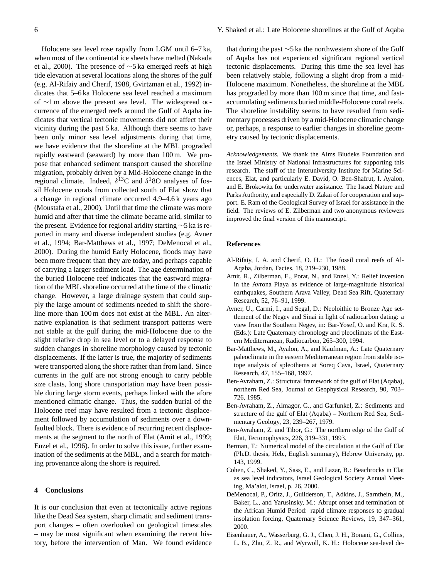Holocene sea level rose rapidly from LGM until 6–7 ka, when most of the continental ice sheets have melted (Nakada et al., 2000). The presence of ∼5 ka emerged reefs at high tide elevation at several locations along the shores of the gulf (e.g. Al-Rifaiy and Cherif, 1988, Gvirtzman et al., 1992) indicates that 5–6 ka Holocene sea level reached a maximum of ∼1 m above the present sea level. The widespread occurrence of the emerged reefs around the Gulf of Aqaba indicates that vertical tectonic movements did not affect their vicinity during the past 5 ka. Although there seems to have been only minor sea level adjustments during that time, we have evidence that the shoreline at the MBL prograded rapidly eastward (seaward) by more than 100 m. We propose that enhanced sediment transport caused the shoreline migration, probably driven by a Mid-Holocene change in the regional climate. Indeed,  $\delta^{13}$ C and  $\delta^{18}$ O analyses of fossil Holocene corals from collected south of Elat show that a change in regional climate occurred 4.9–4.6 k years ago (Moustafa et al., 2000). Until that time the climate was more humid and after that time the climate became arid, similar to the present. Evidence for regional aridity starting ∼5 ka is reported in many and diverse independent studies (e.g. Avner et al., 1994; Bar-Matthews et al., 1997; DeMenocal et al., 2000). During the humid Early Holocene, floods may have been more frequent than they are today, and perhaps capable of carrying a larger sediment load. The age determination of the buried Holocene reef indicates that the eastward migration of the MBL shoreline occurred at the time of the climatic change. However, a large drainage system that could supply the large amount of sediments needed to shift the shoreline more than 100 m does not exist at the MBL. An alternative explanation is that sediment transport patterns were not stable at the gulf during the mid-Holocene due to the slight relative drop in sea level or to a delayed response to sudden changes in shoreline morphology caused by tectonic displacements. If the latter is true, the majority of sediments were transported along the shore rather than from land. Since currents in the gulf are not strong enough to carry pebble size clasts, long shore transportation may have been possible during large storm events, perhaps linked with the afore mentioned climatic change. Thus, the sudden burial of the Holocene reef may have resulted from a tectonic displacement followed by accumulation of sediments over a downfaulted block. There is evidence of recurring recent displacements at the segment to the north of Elat (Amit et al., 1999; Enzel et al., 1996). In order to solve this issue, further examination of the sediments at the MBL, and a search for matching provenance along the shore is required.

# **4 Conclusions**

It is our conclusion that even at tectonically active regions like the Dead Sea system, sharp climatic and sediment transport changes – often overlooked on geological timescales – may be most significant when examining the recent history, before the intervention of Man. We found evidence that during the past ∼5 ka the northwestern shore of the Gulf of Aqaba has not experienced significant regional vertical tectonic displacements. During this time the sea level has been relatively stable, following a slight drop from a mid-Holocene maximum. Nonetheless, the shoreline at the MBL has prograded by more than 100 m since that time, and fastaccumulating sediments buried middle-Holocene coral reefs. The shoreline instability seems to have resulted from sedimentary processes driven by a mid-Holocene climatic change or, perhaps, a response to earlier changes in shoreline geometry caused by tectonic displacements.

*Acknowledgements.* We thank the Aims Biudeks Foundation and the Israel Ministry of National Infrastructures for supporting this research. The staff of the Interuniversity Institute for Marine Sciences, Elat, and particularly E. David, O. Ben-Shafrut, I. Ayalon, and E. Brokowitz for underwater assistance. The Israel Nature and Parks Authority, and especially D. Zakai of for cooperation and support. E. Ram of the Geological Survey of Israel for assistance in the field. The reviews of E. Zilberman and two anonymous reviewers improved the final version of this manuscript.

# **References**

- Al-Rifaiy, I. A. and Cherif, O. H.: The fossil coral reefs of Al-Aqaba, Jordan, Facies, 18, 219–230, 1988.
- Amit, R., Zilberman, E., Porat, N., and Enzel, Y.: Relief inversion in the Avrona Playa as evidence of large-magnitude historical earthquakes, Southern Arava Valley, Dead Sea Rift, Quaternary Research, 52, 76–91, 1999.
- Avner, U., Carmi, I., and Segal, D.: Neoloithic to Bronze Age settlement of the Negev and Sinai in light of radiocarbon dating: a view from the Southern Negev, in: Bar-Yosef, O. and Kra, R. S. (Eds.): Late Quaternary chronology and pleoclimats of the Eastern Mediterranean, Radiocarbon, 265–300, 1994.
- Bar-Matthews, M., Ayalon, A., and Kaufman, A.: Late Quaternary paleoclimate in the eastern Mediterranean region from stable isotope analysis of spleothems at Soreq Cava, Israel, Quaternary Research, 47, 155–168, 1997.
- Ben-Avraham, Z.: Structural framework of the gulf of Elat (Aqaba), northern Red Sea, Journal of Geophysical Research, 90, 703– 726, 1985.
- Ben-Avraham, Z., Almagor, G., and Garfunkel, Z.: Sediments and structure of the gulf of Elat (Aqaba) – Northern Red Sea, Sedimentary Geology, 23, 239–267, 1979.
- Ben-Avraham, Z. and Tibor, G.: The northern edge of the Gulf of Elat, Tectonophysics, 226, 319–331, 1993.
- Berman, T.: Numerical model of the circulation at the Gulf of Elat (Ph.D. thesis, Heb., English summary), Hebrew University, pp. 143, 1999.
- Cohen, C., Shaked, Y., Sass, E., and Lazar, B.: Beachrocks in Elat as sea level indicators, Israel Geological Society Annual Meeting, Ma'alot, Israel, p. 26, 2000.
- DeMenocal, P., Oritz, J., Guilderson, T., Adkins, J., Sarnthein, M., Baker, L., and Yarusinsky, M.: Abrupt onset and termination of the African Humid Period: rapid climate responses to gradual insolation forcing, Quaternary Science Reviews, 19, 347–361, 2000.
- Eisenhauer, A., Wasserburg, G. J., Chen, J. H., Bonani, G., Collins, L. B., Zhu, Z. R., and Wyrwoll, K. H.: Holocene sea-level de-